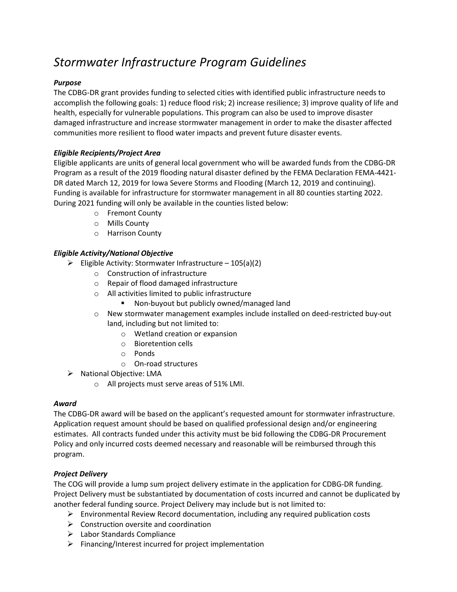# Stormwater Infrastructure Program Guidelines

## Purpose

The CDBG-DR grant provides funding to selected cities with identified public infrastructure needs to accomplish the following goals: 1) reduce flood risk; 2) increase resilience; 3) improve quality of life and health, especially for vulnerable populations. This program can also be used to improve disaster damaged infrastructure and increase stormwater management in order to make the disaster affected communities more resilient to flood water impacts and prevent future disaster events.

## Eligible Recipients/Project Area

Eligible applicants are units of general local government who will be awarded funds from the CDBG-DR Program as a result of the 2019 flooding natural disaster defined by the FEMA Declaration FEMA-4421- DR dated March 12, 2019 for Iowa Severe Storms and Flooding (March 12, 2019 and continuing). Funding is available for infrastructure for stormwater management in all 80 counties starting 2022. During 2021 funding will only be available in the counties listed below:

- o Fremont County
- o Mills County
- o Harrison County

# Eligible Activity/National Objective

- $\triangleright$  Eligible Activity: Stormwater Infrastructure 105(a)(2)
	- o Construction of infrastructure
	- o Repair of flood damaged infrastructure
	- o All activities limited to public infrastructure
		- **Non-buyout but publicly owned/managed land**
	- o New stormwater management examples include installed on deed-restricted buy-out land, including but not limited to:
		- o Wetland creation or expansion
		- o Bioretention cells
		- o Ponds
		- o On-road structures
- $\triangleright$  National Objective: LMA
	- o All projects must serve areas of 51% LMI.

#### Award

The CDBG-DR award will be based on the applicant's requested amount for stormwater infrastructure. Application request amount should be based on qualified professional design and/or engineering estimates. All contracts funded under this activity must be bid following the CDBG-DR Procurement Policy and only incurred costs deemed necessary and reasonable will be reimbursed through this program.

#### Project Delivery

The COG will provide a lump sum project delivery estimate in the application for CDBG-DR funding. Project Delivery must be substantiated by documentation of costs incurred and cannot be duplicated by another federal funding source. Project Delivery may include but is not limited to:

- $\triangleright$  Environmental Review Record documentation, including any required publication costs
- $\triangleright$  Construction oversite and coordination
- Labor Standards Compliance
- $\triangleright$  Financing/Interest incurred for project implementation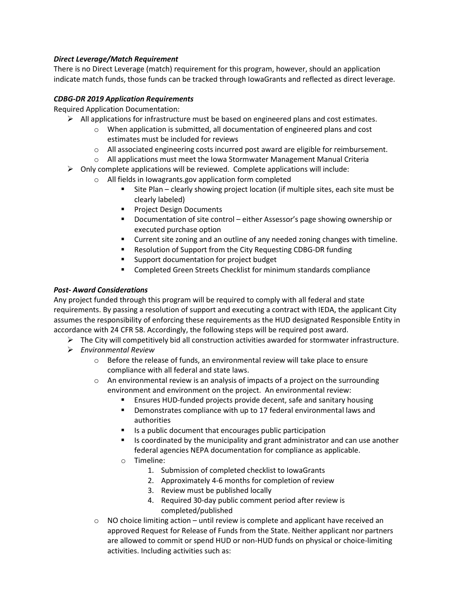# Direct Leverage/Match Requirement

There is no Direct Leverage (match) requirement for this program, however, should an application indicate match funds, those funds can be tracked through IowaGrants and reflected as direct leverage.

#### CDBG-DR 2019 Application Requirements

Required Application Documentation:

- $\triangleright$  All applications for infrastructure must be based on engineered plans and cost estimates.
	- o When application is submitted, all documentation of engineered plans and cost estimates must be included for reviews
	- $\circ$  All associated engineering costs incurred post award are eligible for reimbursement.
	- $\circ$  All applications must meet the Iowa Stormwater Management Manual Criteria
- $\triangleright$  Only complete applications will be reviewed. Complete applications will include:
	- o All fields in Iowagrants.gov application form completed
		- Site Plan clearly showing project location (if multiple sites, each site must be clearly labeled)
		- Project Design Documents
		- Documentation of site control either Assessor's page showing ownership or executed purchase option
		- Current site zoning and an outline of any needed zoning changes with timeline.
		- Resolution of Support from the City Requesting CDBG-DR funding
		- **Support documentation for project budget**
		- Completed Green Streets Checklist for minimum standards compliance

#### Post- Award Considerations

Any project funded through this program will be required to comply with all federal and state requirements. By passing a resolution of support and executing a contract with IEDA, the applicant City assumes the responsibility of enforcing these requirements as the HUD designated Responsible Entity in accordance with 24 CFR 58. Accordingly, the following steps will be required post award.

- $\triangleright$  The City will competitively bid all construction activities awarded for stormwater infrastructure.
- $\triangleright$  Environmental Review
	- $\circ$  Before the release of funds, an environmental review will take place to ensure compliance with all federal and state laws.
	- $\circ$  An environmental review is an analysis of impacts of a project on the surrounding environment and environment on the project. An environmental review:
		- Ensures HUD-funded projects provide decent, safe and sanitary housing
		- **•** Demonstrates compliance with up to 17 federal environmental laws and authorities
		- Is a public document that encourages public participation
		- Is coordinated by the municipality and grant administrator and can use another federal agencies NEPA documentation for compliance as applicable.
		- o Timeline:
			- 1. Submission of completed checklist to IowaGrants
			- 2. Approximately 4-6 months for completion of review
			- 3. Review must be published locally
			- 4. Required 30-day public comment period after review is completed/published
	- $\circ$  NO choice limiting action until review is complete and applicant have received an approved Request for Release of Funds from the State. Neither applicant nor partners are allowed to commit or spend HUD or non-HUD funds on physical or choice-limiting activities. Including activities such as: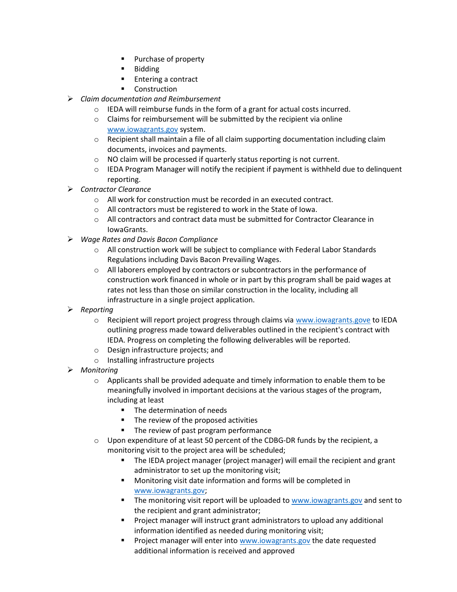- **Purchase of property**
- **Bidding**
- **Entering a contract**
- Construction
- $\triangleright$  Claim documentation and Reimbursement
	- o IEDA will reimburse funds in the form of a grant for actual costs incurred.
	- o Claims for reimbursement will be submitted by the recipient via online www.iowagrants.gov system.
	- $\circ$  Recipient shall maintain a file of all claim supporting documentation including claim documents, invoices and payments.
	- o NO claim will be processed if quarterly status reporting is not current.
	- $\circ$  IEDA Program Manager will notify the recipient if payment is withheld due to delinguent reporting.
- Contractor Clearance
	- $\circ$  All work for construction must be recorded in an executed contract.
	- o All contractors must be registered to work in the State of Iowa.
	- $\circ$  All contractors and contract data must be submitted for Contractor Clearance in IowaGrants.
- Wage Rates and Davis Bacon Compliance
	- $\circ$  All construction work will be subject to compliance with Federal Labor Standards Regulations including Davis Bacon Prevailing Wages.
	- $\circ$  All laborers employed by contractors or subcontractors in the performance of construction work financed in whole or in part by this program shall be paid wages at rates not less than those on similar construction in the locality, including all infrastructure in a single project application.
- $\triangleright$  Reporting
	- o Recipient will report project progress through claims via www.iowagrants.gove to IEDA outlining progress made toward deliverables outlined in the recipient's contract with IEDA. Progress on completing the following deliverables will be reported.
	- o Design infrastructure projects; and
	- o Installing infrastructure projects
- $\triangleright$  Monitoring
	- $\circ$  Applicants shall be provided adequate and timely information to enable them to be meaningfully involved in important decisions at the various stages of the program, including at least
		- **The determination of needs**
		- The review of the proposed activities
		- The review of past program performance
	- $\circ$  Upon expenditure of at least 50 percent of the CDBG-DR funds by the recipient, a monitoring visit to the project area will be scheduled;
		- **The IEDA project manager (project manager) will email the recipient and grant** administrator to set up the monitoring visit;
		- **Monitoring visit date information and forms will be completed in** www.iowagrants.gov;
		- **The monitoring visit report will be uploaded to www.iowagrants.gov and sent to** the recipient and grant administrator;
		- Project manager will instruct grant administrators to upload any additional information identified as needed during monitoring visit;
		- Project manager will enter into www.iowagrants.gov the date requested additional information is received and approved